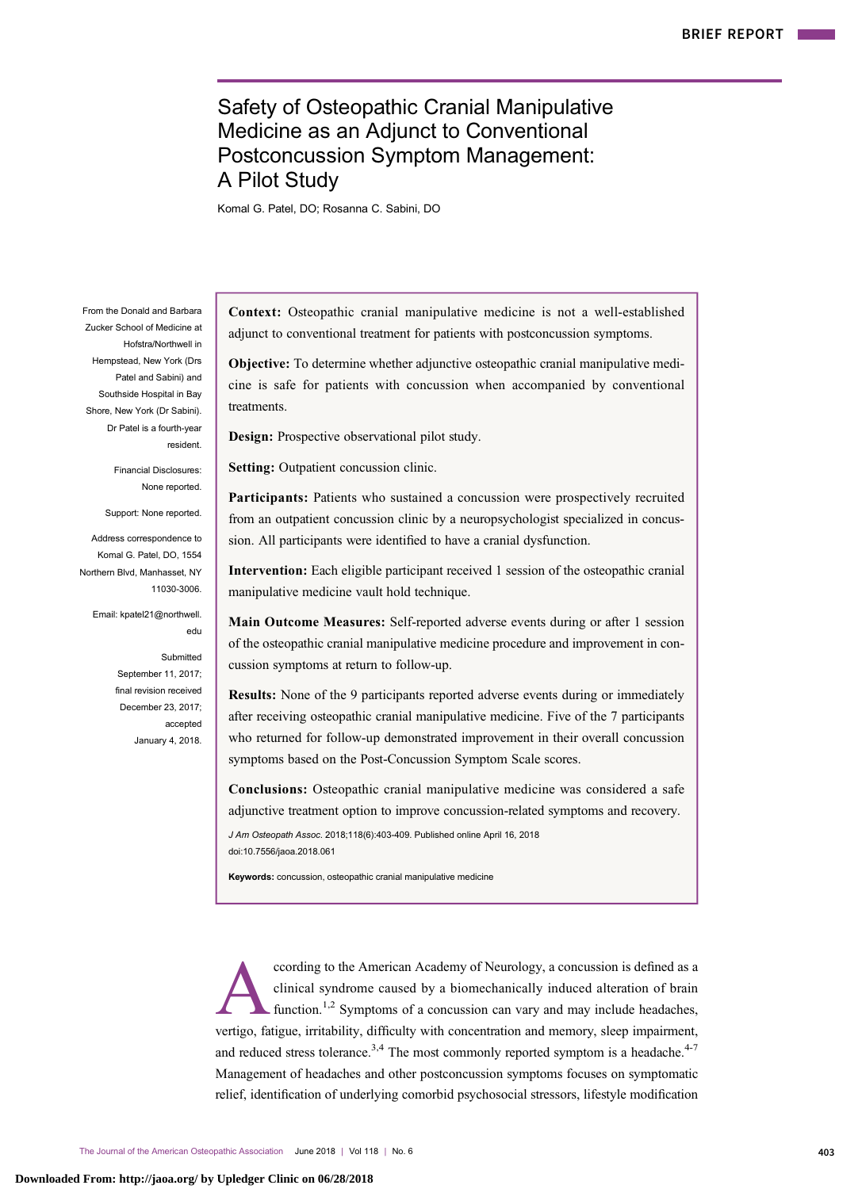# Safety of Osteopathic Cranial Manipulative Medicine as an Adjunct to Conventional Postconcussion Symptom Management: A Pilot Study

Komal G. Patel, DO; Rosanna C. Sabini, DO

From the Donald and Barbara Zucker School of Medicine at Hofstra/Northwell in Hempstead, New York (Drs Patel and Sabini) and Southside Hospital in Bay Shore, New York (Dr Sabini). Dr Patel is a fourth-year resident.

> Financial Disclosures: None reported.

Support: None reported.

Address correspondence to Komal G. Patel, DO, 1554 Northern Blvd, Manhasset, NY 11030-3006.

Email: kpatel21@northwell. edu

> Submitted September 11, 2017; final revision received December 23, 2017; accepted January 4, 2018.

Context: Osteopathic cranial manipulative medicine is not a well-established adjunct to conventional treatment for patients with postconcussion symptoms.

Objective: To determine whether adjunctive osteopathic cranial manipulative medicine is safe for patients with concussion when accompanied by conventional treatments.

Design: Prospective observational pilot study.

Setting: Outpatient concussion clinic.

Participants: Patients who sustained a concussion were prospectively recruited from an outpatient concussion clinic by a neuropsychologist specialized in concussion. All participants were identified to have a cranial dysfunction.

Intervention: Each eligible participant received 1 session of the osteopathic cranial manipulative medicine vault hold technique.

Main Outcome Measures: Self-reported adverse events during or after 1 session of the osteopathic cranial manipulative medicine procedure and improvement in concussion symptoms at return to follow-up.

Results: None of the 9 participants reported adverse events during or immediately after receiving osteopathic cranial manipulative medicine. Five of the 7 participants who returned for follow-up demonstrated improvement in their overall concussion symptoms based on the Post-Concussion Symptom Scale scores.

Conclusions: Osteopathic cranial manipulative medicine was considered a safe adjunctive treatment option to improve concussion-related symptoms and recovery.

J Am Osteopath Assoc. 2018;118(6):403-409. Published online April 16, 2018 doi:10.7556/jaoa.2018.061

Keywords: concussion, osteopathic cranial manipulative medicine

coording to the American Academy of Neurology, a concussion is defined as a clinical syndrome caused by a biomechanically induced alteration of brain function.<sup>1,2</sup> Symptoms of a concussion can vary and may include headach clinical syndrome caused by a biomechanically induced alteration of brain function.<sup>1,2</sup> Symptoms of a concussion can vary and may include headaches, vertigo, fatigue, irritability, difficulty with concentration and memory, sleep impairment, and reduced stress tolerance.<sup>3,4</sup> The most commonly reported symptom is a headache.<sup>[4-7](#page-6-0)</sup> Management of headaches and other postconcussion symptoms focuses on symptomatic relief, identification of underlying comorbid psychosocial stressors, lifestyle modification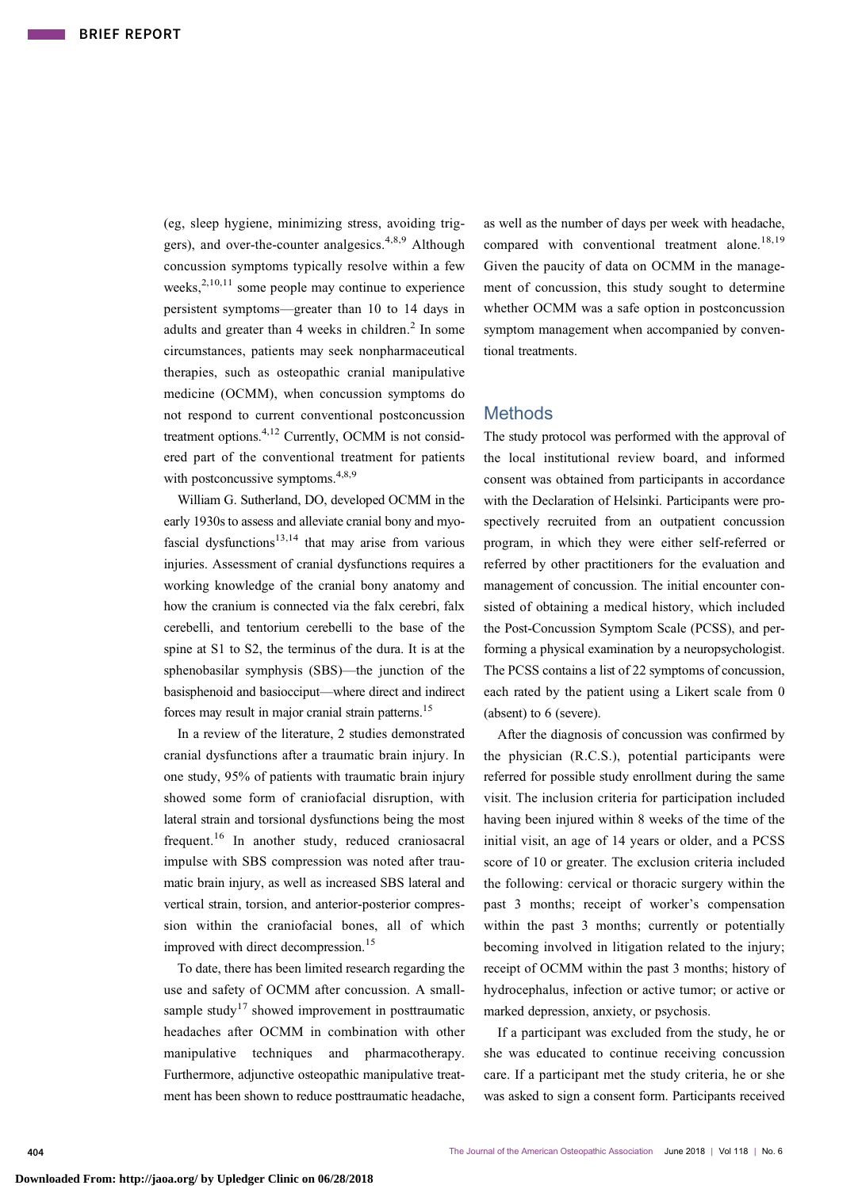(eg, sleep hygiene, minimizing stress, avoiding trig-gers), and over-the-counter analgesics.<sup>[4,8](#page-6-0),[9](#page-6-0)</sup> Although concussion symptoms typically resolve within a few weeks, $2,10,11$  some people may continue to experience persistent symptoms—greater than 10 to 14 days in adults and greater than 4 weeks in children.<sup>[2](#page-6-0)</sup> In some circumstances, patients may seek nonpharmaceutical therapies, such as osteopathic cranial manipulative medicine (OCMM), when concussion symptoms do not respond to current conventional postconcussion treatment options.<sup>[4,12](#page-6-0)</sup> Currently, OCMM is not considered part of the conventional treatment for patients with postconcussive symptoms.<sup>4,8,9</sup>

William G. Sutherland, DO, developed OCMM in the early 1930s to assess and alleviate cranial bony and myo-fascial dysfunctions<sup>[13,14](#page-6-0)</sup> that may arise from various injuries. Assessment of cranial dysfunctions requires a working knowledge of the cranial bony anatomy and how the cranium is connected via the falx cerebri, falx cerebelli, and tentorium cerebelli to the base of the spine at S1 to S2, the terminus of the dura. It is at the sphenobasilar symphysis (SBS)—the junction of the basisphenoid and basiocciput—where direct and indirect forces may result in major cranial strain patterns[.15](#page-6-0)

In a review of the literature, 2 studies demonstrated cranial dysfunctions after a traumatic brain injury. In one study, 95% of patients with traumatic brain injury showed some form of craniofacial disruption, with lateral strain and torsional dysfunctions being the most frequent.<sup>[16](#page-6-0)</sup> In another study, reduced craniosacral impulse with SBS compression was noted after traumatic brain injury, as well as increased SBS lateral and vertical strain, torsion, and anterior-posterior compression within the craniofacial bones, all of which improved with direct decompression.<sup>[15](#page-6-0)</sup>

To date, there has been limited research regarding the use and safety of OCMM after concussion. A small-sample study<sup>[17](#page-6-0)</sup> showed improvement in posttraumatic headaches after OCMM in combination with other manipulative techniques and pharmacotherapy. Furthermore, adjunctive osteopathic manipulative treatment has been shown to reduce posttraumatic headache,

as well as the number of days per week with headache, compared with conventional treatment alone.<sup>[18,19](#page-6-0)</sup> Given the paucity of data on OCMM in the management of concussion, this study sought to determine whether OCMM was a safe option in postconcussion symptom management when accompanied by conventional treatments.

## **Methods**

The study protocol was performed with the approval of the local institutional review board, and informed consent was obtained from participants in accordance with the Declaration of Helsinki. Participants were prospectively recruited from an outpatient concussion program, in which they were either self-referred or referred by other practitioners for the evaluation and management of concussion. The initial encounter consisted of obtaining a medical history, which included the Post-Concussion Symptom Scale (PCSS), and performing a physical examination by a neuropsychologist. The PCSS contains a list of 22 symptoms of concussion, each rated by the patient using a Likert scale from 0 (absent) to 6 (severe).

After the diagnosis of concussion was confirmed by the physician (R.C.S.), potential participants were referred for possible study enrollment during the same visit. The inclusion criteria for participation included having been injured within 8 weeks of the time of the initial visit, an age of 14 years or older, and a PCSS score of 10 or greater. The exclusion criteria included the following: cervical or thoracic surgery within the past 3 months; receipt of worker's compensation within the past 3 months; currently or potentially becoming involved in litigation related to the injury; receipt of OCMM within the past 3 months; history of hydrocephalus, infection or active tumor; or active or marked depression, anxiety, or psychosis.

If a participant was excluded from the study, he or she was educated to continue receiving concussion care. If a participant met the study criteria, he or she was asked to sign a consent form. Participants received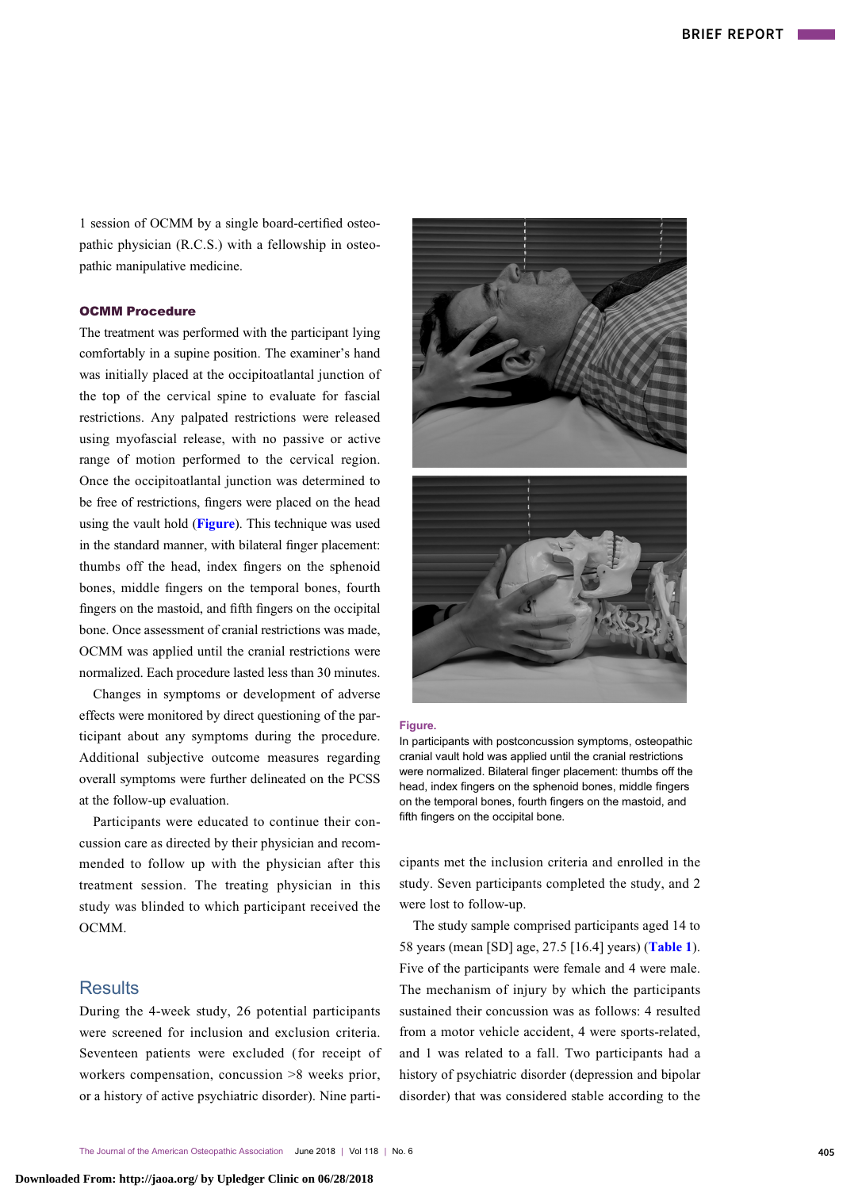1 session of OCMM by a single board-certified osteopathic physician (R.C.S.) with a fellowship in osteopathic manipulative medicine.

### OCMM Procedure

The treatment was performed with the participant lying comfortably in a supine position. The examiner's hand was initially placed at the occipitoatlantal junction of the top of the cervical spine to evaluate for fascial restrictions. Any palpated restrictions were released using myofascial release, with no passive or active range of motion performed to the cervical region. Once the occipitoatlantal junction was determined to be free of restrictions, fingers were placed on the head using the vault hold (Figure). This technique was used in the standard manner, with bilateral finger placement: thumbs off the head, index fingers on the sphenoid bones, middle fingers on the temporal bones, fourth fingers on the mastoid, and fifth fingers on the occipital bone. Once assessment of cranial restrictions was made, OCMM was applied until the cranial restrictions were normalized. Each procedure lasted less than 30 minutes.

Changes in symptoms or development of adverse effects were monitored by direct questioning of the participant about any symptoms during the procedure. Additional subjective outcome measures regarding overall symptoms were further delineated on the PCSS at the follow-up evaluation.

Participants were educated to continue their concussion care as directed by their physician and recommended to follow up with the physician after this treatment session. The treating physician in this study was blinded to which participant received the OCMM.

# **Results**

During the 4-week study, 26 potential participants were screened for inclusion and exclusion criteria. Seventeen patients were excluded ( for receipt of workers compensation, concussion >8 weeks prior, or a history of active psychiatric disorder). Nine parti-



#### Figure.

In participants with postconcussion symptoms, osteopathic cranial vault hold was applied until the cranial restrictions were normalized. Bilateral finger placement: thumbs off the head, index fingers on the sphenoid bones, middle fingers on the temporal bones, fourth fingers on the mastoid, and fifth fingers on the occipital bone.

cipants met the inclusion criteria and enrolled in the study. Seven participants completed the study, and 2 were lost to follow-up.

The study sample comprised participants aged 14 to 58 years (mean [SD] age, 27.5 [16.4] years) ([Table 1](#page-3-0)). Five of the participants were female and 4 were male. The mechanism of injury by which the participants sustained their concussion was as follows: 4 resulted from a motor vehicle accident, 4 were sports-related, and 1 was related to a fall. Two participants had a history of psychiatric disorder (depression and bipolar disorder) that was considered stable according to the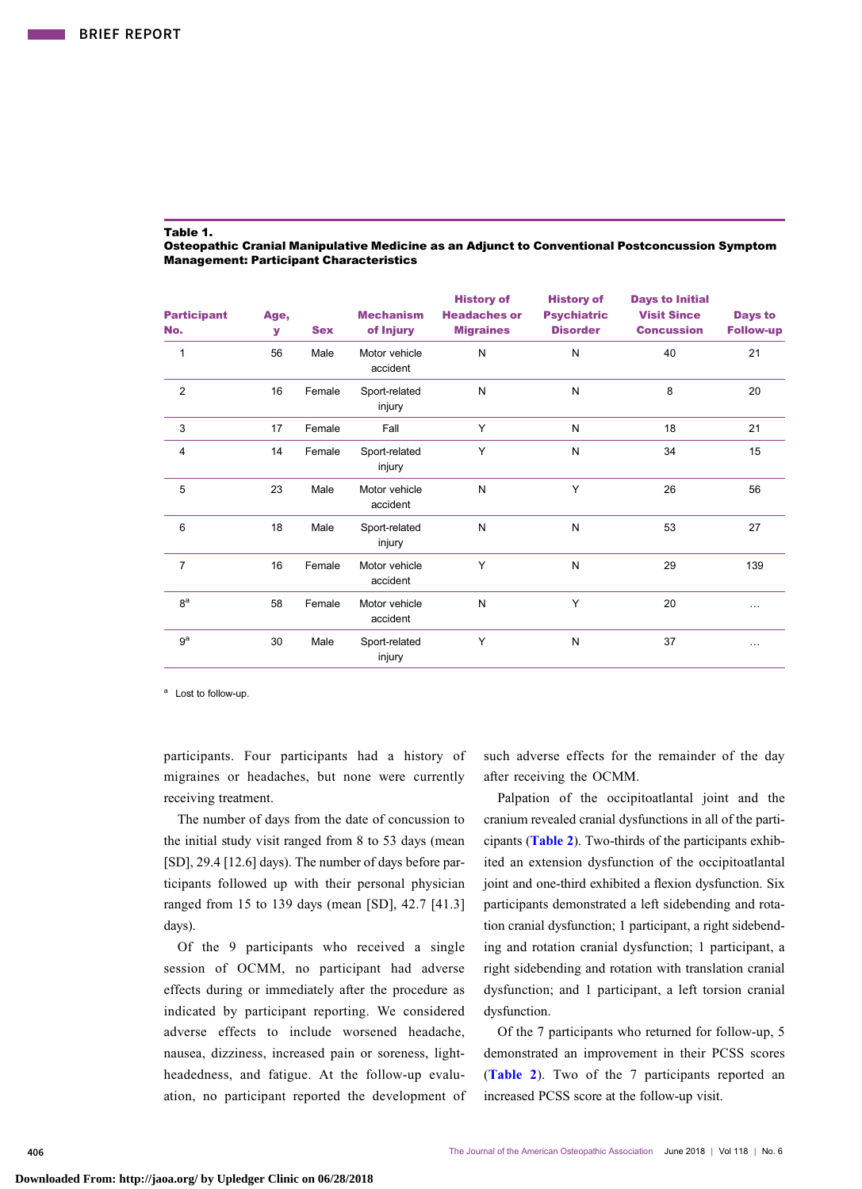#### <span id="page-3-0"></span>Table 1.

Osteopathic Cranial Manipulative Medicine as an Adjunct to Conventional Postconcussion Symptom Management: Participant Characteristics

| <b>Participant</b><br>No. | Age,<br>У | <b>Sex</b> | <b>Mechanism</b><br>of Injury | <b>History of</b><br><b>Headaches or</b><br><b>Migraines</b> | <b>History of</b><br><b>Psychiatric</b><br><b>Disorder</b> | <b>Days to Initial</b><br><b>Visit Since</b><br><b>Concussion</b> | Days to<br><b>Follow-up</b> |
|---------------------------|-----------|------------|-------------------------------|--------------------------------------------------------------|------------------------------------------------------------|-------------------------------------------------------------------|-----------------------------|
| $\mathbf{1}$              | 56        | Male       | Motor vehicle<br>accident     | N                                                            | N                                                          | 40                                                                | 21                          |
| 2                         | 16        | Female     | Sport-related<br>injury       | N                                                            | N                                                          | 8                                                                 | 20                          |
| 3                         | 17        | Female     | Fall                          | Y                                                            | N                                                          | 18                                                                | 21                          |
| 4                         | 14        | Female     | Sport-related<br>injury       | Y                                                            | N                                                          | 34                                                                | 15                          |
| 5                         | 23        | Male       | Motor vehicle<br>accident     | N                                                            | Y                                                          | 26                                                                | 56                          |
| 6                         | 18        | Male       | Sport-related<br>injury       | N                                                            | N                                                          | 53                                                                | 27                          |
| $\overline{7}$            | 16        | Female     | Motor vehicle<br>accident     | Y                                                            | N                                                          | 29                                                                | 139                         |
| 8 <sup>a</sup>            | 58        | Female     | Motor vehicle<br>accident     | N                                                            | Y                                                          | 20                                                                | $\cdots$                    |
| 9 <sup>a</sup>            | 30        | Male       | Sport-related<br>injury       | Y                                                            | N                                                          | 37                                                                | $\cdots$                    |

<sup>a</sup> Lost to follow-up.

participants. Four participants had a history of migraines or headaches, but none were currently receiving treatment.

The number of days from the date of concussion to the initial study visit ranged from 8 to 53 days (mean [SD], 29.4 [12.6] days). The number of days before participants followed up with their personal physician ranged from 15 to 139 days (mean [SD], 42.7 [41.3] days).

Of the 9 participants who received a single session of OCMM, no participant had adverse effects during or immediately after the procedure as indicated by participant reporting. We considered adverse effects to include worsened headache, nausea, dizziness, increased pain or soreness, lightheadedness, and fatigue. At the follow-up evaluation, no participant reported the development of

such adverse effects for the remainder of the day after receiving the OCMM.

Palpation of the occipitoatlantal joint and the cranium revealed cranial dysfunctions in all of the participants ([Table 2](#page-4-0)). Two-thirds of the participants exhibited an extension dysfunction of the occipitoatlantal joint and one-third exhibited a flexion dysfunction. Six participants demonstrated a left sidebending and rotation cranial dysfunction; 1 participant, a right sidebending and rotation cranial dysfunction; 1 participant, a right sidebending and rotation with translation cranial dysfunction; and 1 participant, a left torsion cranial dysfunction.

Of the 7 participants who returned for follow-up, 5 demonstrated an improvement in their PCSS scores ([Table 2](#page-4-0)). Two of the 7 participants reported an increased PCSS score at the follow-up visit.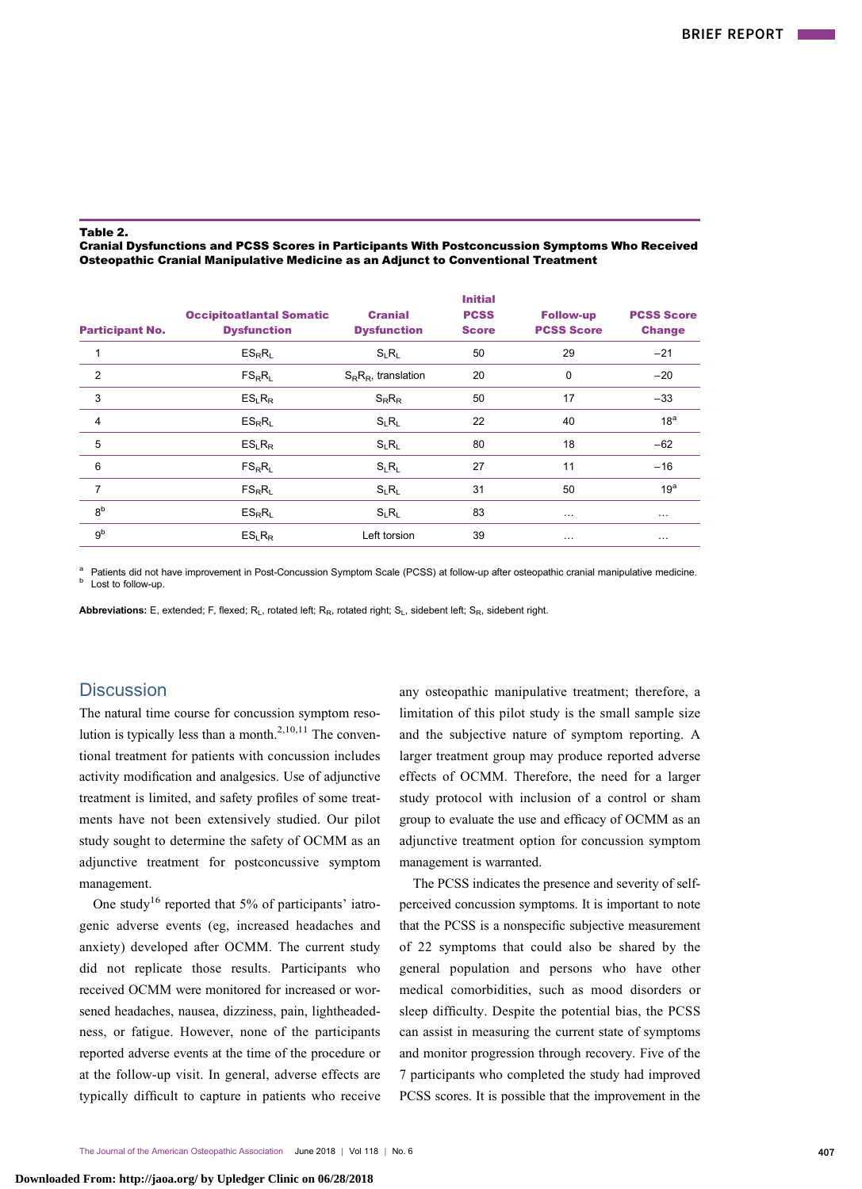#### <span id="page-4-0"></span>Table 2.

Cranial Dysfunctions and PCSS Scores in Participants With Postconcussion Symptoms Who Received Osteopathic Cranial Manipulative Medicine as an Adjunct to Conventional Treatment

| <b>Participant No.</b> | <b>Occipitoatlantal Somatic</b><br><b>Dysfunction</b> | <b>Cranial</b><br><b>Dysfunction</b> | <b>Initial</b><br><b>PCSS</b><br><b>Score</b> | <b>Follow-up</b><br><b>PCSS Score</b> | <b>PCSS Score</b><br><b>Change</b> |
|------------------------|-------------------------------------------------------|--------------------------------------|-----------------------------------------------|---------------------------------------|------------------------------------|
|                        | $ES_R R_L$                                            | $S_1R_1$                             | 50                                            | 29                                    | $-21$                              |
| $\overline{2}$         | $FS_RR_L$                                             | $S_R R_R$ , translation              | 20                                            | $\Omega$                              | $-20$                              |
| 3                      | ES <sub>1</sub> R <sub>R</sub>                        | $S_R R_R$                            | 50                                            | 17                                    | $-33$                              |
| 4                      | $ES_R R_L$                                            | $S_L R_L$                            | 22                                            | 40                                    | 18 <sup>a</sup>                    |
| 5                      | ES <sub>1</sub> R <sub>R</sub>                        | $S_{L}R_{L}$                         | 80                                            | 18                                    | $-62$                              |
| 6                      | $FS_RR_L$                                             | $S_{L}R_{L}$                         | 27                                            | 11                                    | $-16$                              |
| 7                      | $FS_RR_L$                                             | $S_L R_L$                            | 31                                            | 50                                    | 19 <sup>a</sup>                    |
| 8 <sup>b</sup>         | $ES_R R_L$                                            | $S_{L}R_{L}$                         | 83                                            | $\cdots$                              | $\cdots$                           |
| gb                     | ES <sub>1</sub> R <sub>R</sub>                        | Left torsion                         | 39                                            | $\cdots$                              | $\cdots$                           |
|                        |                                                       |                                      |                                               |                                       |                                    |

<sup>a</sup> Patients did not have improvement in Post-Concussion Symptom Scale (PCSS) at follow-up after osteopathic cranial manipulative medicine.<br><sup>b</sup> Lost to follow-up.

Abbreviations: E, extended; F, flexed; R<sub>L</sub>, rotated left; R<sub>R</sub>, rotated right; S<sub>L</sub>, sidebent left; S<sub>R</sub>, sidebent right.

# **Discussion**

The natural time course for concussion symptom reso-lution is typically less than a month.<sup>[2,10](#page-6-0),[11](#page-6-0)</sup> The conventional treatment for patients with concussion includes activity modification and analgesics. Use of adjunctive treatment is limited, and safety profiles of some treatments have not been extensively studied. Our pilot study sought to determine the safety of OCMM as an adjunctive treatment for postconcussive symptom management.

One study<sup>[16](#page-6-0)</sup> reported that 5% of participants' iatrogenic adverse events (eg, increased headaches and anxiety) developed after OCMM. The current study did not replicate those results. Participants who received OCMM were monitored for increased or worsened headaches, nausea, dizziness, pain, lightheadedness, or fatigue. However, none of the participants reported adverse events at the time of the procedure or at the follow-up visit. In general, adverse effects are typically difficult to capture in patients who receive any osteopathic manipulative treatment; therefore, a limitation of this pilot study is the small sample size and the subjective nature of symptom reporting. A larger treatment group may produce reported adverse effects of OCMM. Therefore, the need for a larger study protocol with inclusion of a control or sham group to evaluate the use and efficacy of OCMM as an adjunctive treatment option for concussion symptom management is warranted.

The PCSS indicates the presence and severity of selfperceived concussion symptoms. It is important to note that the PCSS is a nonspecific subjective measurement of 22 symptoms that could also be shared by the general population and persons who have other medical comorbidities, such as mood disorders or sleep difficulty. Despite the potential bias, the PCSS can assist in measuring the current state of symptoms and monitor progression through recovery. Five of the 7 participants who completed the study had improved PCSS scores. It is possible that the improvement in the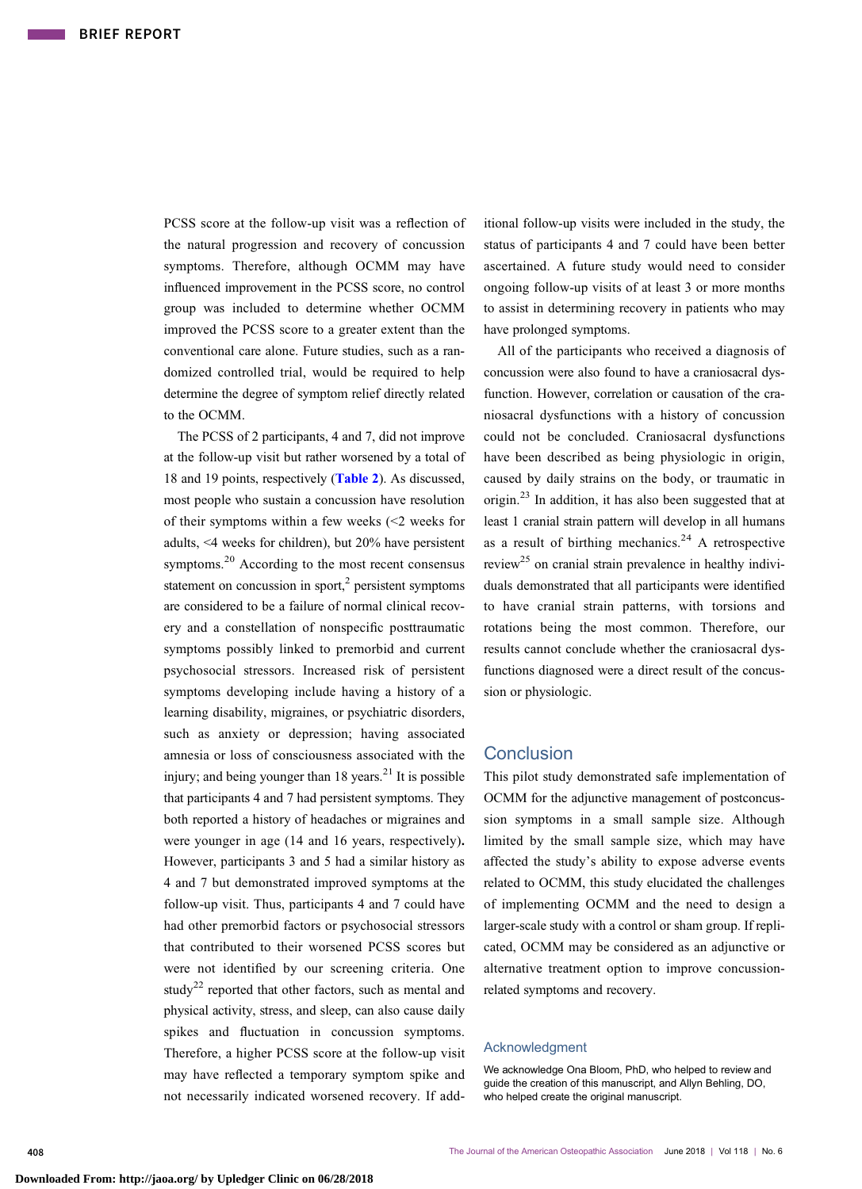PCSS score at the follow-up visit was a reflection of the natural progression and recovery of concussion symptoms. Therefore, although OCMM may have influenced improvement in the PCSS score, no control group was included to determine whether OCMM improved the PCSS score to a greater extent than the conventional care alone. Future studies, such as a randomized controlled trial, would be required to help determine the degree of symptom relief directly related to the OCMM.

The PCSS of 2 participants, 4 and 7, did not improve at the follow-up visit but rather worsened by a total of 18 and 19 points, respectively ([Table 2](#page-4-0)). As discussed, most people who sustain a concussion have resolution of their symptoms within a few weeks (<2 weeks for adults, <4 weeks for children), but 20% have persistent symptoms. $2<sup>0</sup>$  According to the most recent consensus statement on concussion in sport, $2$  persistent symptoms are considered to be a failure of normal clinical recovery and a constellation of nonspecific posttraumatic symptoms possibly linked to premorbid and current psychosocial stressors. Increased risk of persistent symptoms developing include having a history of a learning disability, migraines, or psychiatric disorders, such as anxiety or depression; having associated amnesia or loss of consciousness associated with the injury; and being younger than  $18 \text{ years.}^{21}$  $18 \text{ years.}^{21}$  $18 \text{ years.}^{21}$  It is possible that participants 4 and 7 had persistent symptoms. They both reported a history of headaches or migraines and were younger in age (14 and 16 years, respectively). However, participants 3 and 5 had a similar history as 4 and 7 but demonstrated improved symptoms at the follow-up visit. Thus, participants 4 and 7 could have had other premorbid factors or psychosocial stressors that contributed to their worsened PCSS scores but were not identified by our screening criteria. One study<sup>[22](#page-6-0)</sup> reported that other factors, such as mental and physical activity, stress, and sleep, can also cause daily spikes and fluctuation in concussion symptoms. Therefore, a higher PCSS score at the follow-up visit may have reflected a temporary symptom spike and not necessarily indicated worsened recovery. If additional follow-up visits were included in the study, the status of participants 4 and 7 could have been better ascertained. A future study would need to consider ongoing follow-up visits of at least 3 or more months to assist in determining recovery in patients who may have prolonged symptoms.

All of the participants who received a diagnosis of concussion were also found to have a craniosacral dysfunction. However, correlation or causation of the craniosacral dysfunctions with a history of concussion could not be concluded. Craniosacral dysfunctions have been described as being physiologic in origin, caused by daily strains on the body, or traumatic in origin.[23](#page-6-0) In addition, it has also been suggested that at least 1 cranial strain pattern will develop in all humans as a result of birthing mechanics.<sup>[24](#page-6-0)</sup> A retrospective review<sup>[25](#page-6-0)</sup> on cranial strain prevalence in healthy individuals demonstrated that all participants were identified to have cranial strain patterns, with torsions and rotations being the most common. Therefore, our results cannot conclude whether the craniosacral dysfunctions diagnosed were a direct result of the concussion or physiologic.

# **Conclusion**

This pilot study demonstrated safe implementation of OCMM for the adjunctive management of postconcussion symptoms in a small sample size. Although limited by the small sample size, which may have affected the study's ability to expose adverse events related to OCMM, this study elucidated the challenges of implementing OCMM and the need to design a larger-scale study with a control or sham group. If replicated, OCMM may be considered as an adjunctive or alternative treatment option to improve concussionrelated symptoms and recovery.

### Acknowledgment

We acknowledge Ona Bloom, PhD, who helped to review and guide the creation of this manuscript, and Allyn Behling, DO, who helped create the original manuscript.